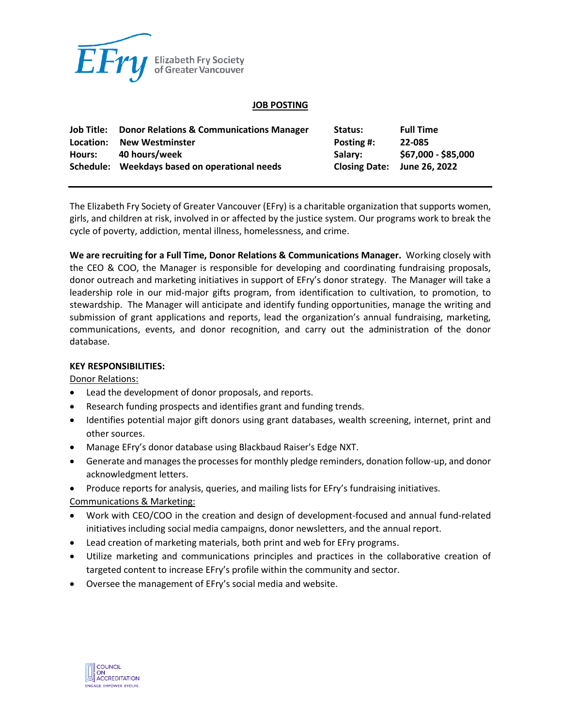

#### **JOB POSTING**

| Job Title:<br>Location: | <b>Donor Relations &amp; Communications Manager</b><br><b>New Westminster</b> | Status:<br>Posting #:       | <b>Full Time</b><br>22-085 |
|-------------------------|-------------------------------------------------------------------------------|-----------------------------|----------------------------|
| Hours:                  | 40 hours/week                                                                 | Salarv:                     | \$67,000 - \$85,000        |
|                         | Schedule: Weekdays based on operational needs                                 | Closing Date: June 26, 2022 |                            |

The Elizabeth Fry Society of Greater Vancouver (EFry) is a charitable organization that supports women, girls, and children at risk, involved in or affected by the justice system. Our programs work to break the cycle of poverty, addiction, mental illness, homelessness, and crime.

**We are recruiting for a Full Time, Donor Relations & Communications Manager.** Working closely with the CEO & COO, the Manager is responsible for developing and coordinating fundraising proposals, donor outreach and marketing initiatives in support of EFry's donor strategy. The Manager will take a leadership role in our mid-major gifts program, from identification to cultivation, to promotion, to stewardship. The Manager will anticipate and identify funding opportunities, manage the writing and submission of grant applications and reports, lead the organization's annual fundraising, marketing, communications, events, and donor recognition, and carry out the administration of the donor database.

### **KEY RESPONSIBILITIES:**

Donor Relations:

- Lead the development of donor proposals, and reports.
- Research funding prospects and identifies grant and funding trends.
- Identifies potential major gift donors using grant databases, wealth screening, internet, print and other sources.
- Manage EFry's donor database using Blackbaud Raiser's Edge NXT.
- Generate and manages the processes for monthly pledge reminders, donation follow-up, and donor acknowledgment letters.
- Produce reports for analysis, queries, and mailing lists for EFry's fundraising initiatives.

Communications & Marketing:

- Work with CEO/COO in the creation and design of development-focused and annual fund-related initiatives including social media campaigns, donor newsletters, and the annual report.
- Lead creation of marketing materials, both print and web for EFry programs.
- Utilize marketing and communications principles and practices in the collaborative creation of targeted content to increase EFry's profile within the community and sector.
- Oversee the management of EFry's social media and website.